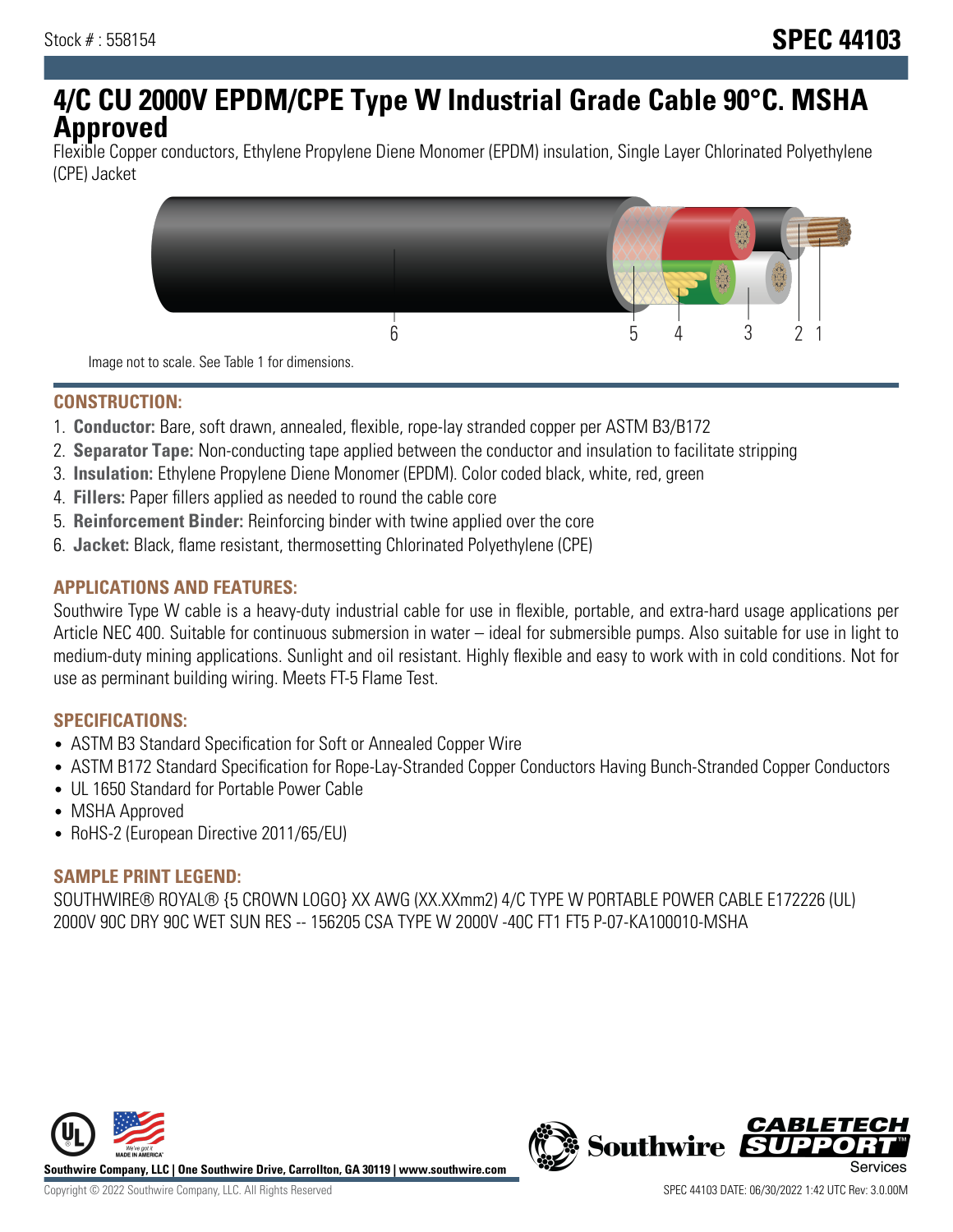# **4/C CU 2000V EPDM/CPE Type W Industrial Grade Cable 90°C. MSHA Approved**

Flexible Copper conductors, Ethylene Propylene Diene Monomer (EPDM) insulation, Single Layer Chlorinated Polyethylene (CPE) Jacket



Image not to scale. See Table 1 for dimensions.

## **CONSTRUCTION:**

- 1. **Conductor:** Bare, soft drawn, annealed, flexible, rope-lay stranded copper per ASTM B3/B172
- 2. **Separator Tape:** Non-conducting tape applied between the conductor and insulation to facilitate stripping
- 3. **Insulation:** Ethylene Propylene Diene Monomer (EPDM). Color coded black, white, red, green
- 4. **Fillers:** Paper fillers applied as needed to round the cable core
- 5. **Reinforcement Binder:** Reinforcing binder with twine applied over the core
- 6. **Jacket:** Black, flame resistant, thermosetting Chlorinated Polyethylene (CPE)

## **APPLICATIONS AND FEATURES:**

Southwire Type W cable is a heavy-duty industrial cable for use in flexible, portable, and extra-hard usage applications per Article NEC 400. Suitable for continuous submersion in water – ideal for submersible pumps. Also suitable for use in light to medium-duty mining applications. Sunlight and oil resistant. Highly flexible and easy to work with in cold conditions. Not for use as perminant building wiring. Meets FT-5 Flame Test.

#### **SPECIFICATIONS:**

- ASTM B3 Standard Specification for Soft or Annealed Copper Wire
- ASTM B172 Standard Specification for Rope-Lay-Stranded Copper Conductors Having Bunch-Stranded Copper Conductors
- UL 1650 Standard for Portable Power Cable
- MSHA Approved
- RoHS-2 (European Directive 2011/65/EU)

## **SAMPLE PRINT LEGEND:**

SOUTHWIRE® ROYAL® {5 CROWN LOGO} XX AWG (XX.XXmm2) 4/C TYPE W PORTABLE POWER CABLE E172226 (UL) 2000V 90C DRY 90C WET SUN RES -- 156205 CSA TYPE W 2000V -40C FT1 FT5 P-07-KA100010-MSHA